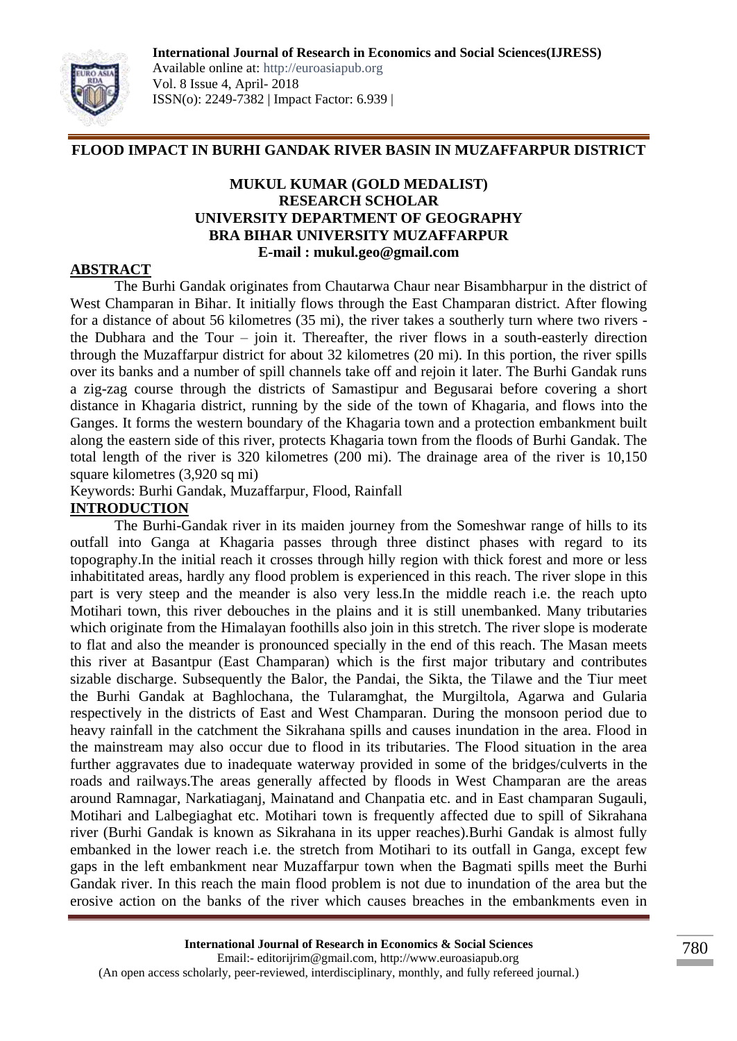

# **FLOOD IMPACT IN BURHI GANDAK RIVER BASIN IN MUZAFFARPUR DISTRICT**

### **MUKUL KUMAR (GOLD MEDALIST) RESEARCH SCHOLAR UNIVERSITY DEPARTMENT OF GEOGRAPHY BRA BIHAR UNIVERSITY MUZAFFARPUR E-mail : mukul.geo@gmail.com**

## **ABSTRACT**

The Burhi Gandak originates from Chautarwa Chaur near Bisambharpur in the district of West Champaran in Bihar. It initially flows through the East Champaran district. After flowing for a distance of about 56 kilometres (35 mi), the river takes a southerly turn where two rivers the Dubhara and the Tour – join it. Thereafter, the river flows in a south-easterly direction through the Muzaffarpur district for about 32 kilometres (20 mi). In this portion, the river spills over its banks and a number of spill channels take off and rejoin it later. The Burhi Gandak runs a zig-zag course through the districts of Samastipur and Begusarai before covering a short distance in Khagaria district, running by the side of the town of Khagaria, and flows into the Ganges. It forms the western boundary of the Khagaria town and a protection embankment built along the eastern side of this river, protects Khagaria town from the floods of Burhi Gandak. The total length of the river is 320 kilometres (200 mi). The drainage area of the river is 10,150 square kilometres (3,920 sq mi)

Keywords: Burhi Gandak, Muzaffarpur, Flood, Rainfall

#### **INTRODUCTION**

The Burhi-Gandak river in its maiden journey from the Someshwar range of hills to its outfall into Ganga at Khagaria passes through three distinct phases with regard to its topography.In the initial reach it crosses through hilly region with thick forest and more or less inhabititated areas, hardly any flood problem is experienced in this reach. The river slope in this part is very steep and the meander is also very less.In the middle reach i.e. the reach upto Motihari town, this river debouches in the plains and it is still unembanked. Many tributaries which originate from the Himalayan foothills also join in this stretch. The river slope is moderate to flat and also the meander is pronounced specially in the end of this reach. The Masan meets this river at Basantpur (East Champaran) which is the first major tributary and contributes sizable discharge. Subsequently the Balor, the Pandai, the Sikta, the Tilawe and the Tiur meet the Burhi Gandak at Baghlochana, the Tularamghat, the Murgiltola, Agarwa and Gularia respectively in the districts of East and West Champaran. During the monsoon period due to heavy rainfall in the catchment the Sikrahana spills and causes inundation in the area. Flood in the mainstream may also occur due to flood in its tributaries. The Flood situation in the area further aggravates due to inadequate waterway provided in some of the bridges/culverts in the roads and railways.The areas generally affected by floods in West Champaran are the areas around Ramnagar, Narkatiaganj, Mainatand and Chanpatia etc. and in East champaran Sugauli, Motihari and Lalbegiaghat etc. Motihari town is frequently affected due to spill of Sikrahana river (Burhi Gandak is known as Sikrahana in its upper reaches).Burhi Gandak is almost fully embanked in the lower reach i.e. the stretch from Motihari to its outfall in Ganga, except few gaps in the left embankment near Muzaffarpur town when the Bagmati spills meet the Burhi Gandak river. In this reach the main flood problem is not due to inundation of the area but the erosive action on the banks of the river which causes breaches in the embankments even in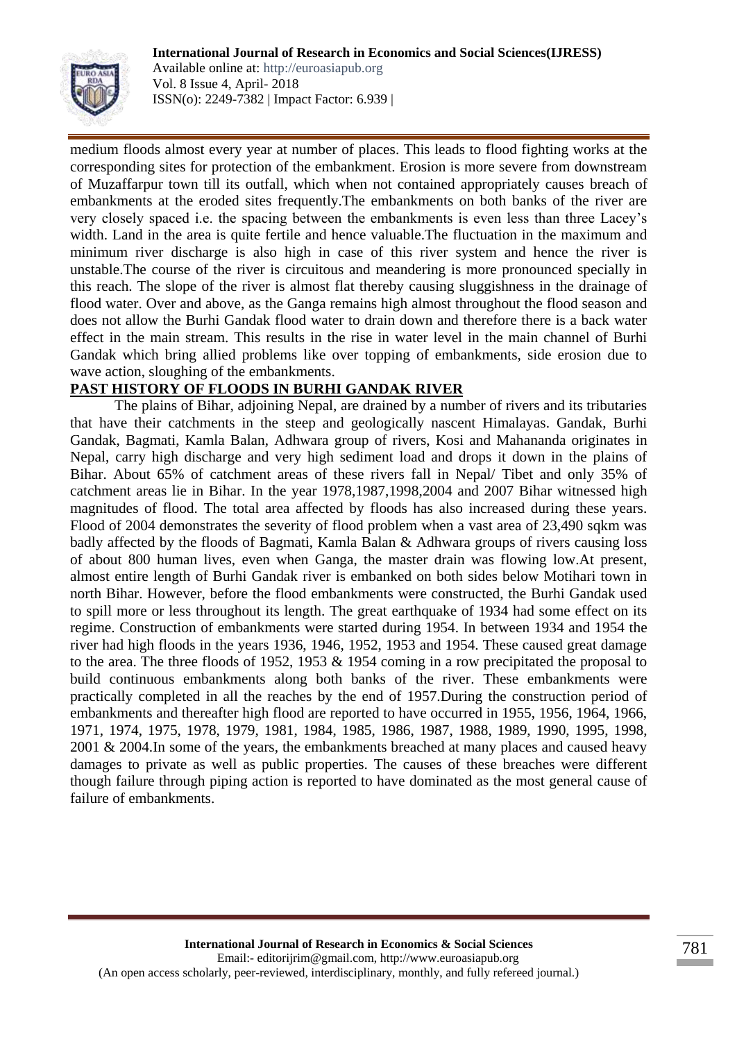

Available online at: http://euroasiapub.org Vol. 8 Issue 4, April- 2018 ISSN(o): 2249-7382 | Impact Factor: 6.939 |

medium floods almost every year at number of places. This leads to flood fighting works at the corresponding sites for protection of the embankment. Erosion is more severe from downstream of Muzaffarpur town till its outfall, which when not contained appropriately causes breach of embankments at the eroded sites frequently.The embankments on both banks of the river are very closely spaced i.e. the spacing between the embankments is even less than three Lacey's width. Land in the area is quite fertile and hence valuable.The fluctuation in the maximum and minimum river discharge is also high in case of this river system and hence the river is unstable.The course of the river is circuitous and meandering is more pronounced specially in this reach. The slope of the river is almost flat thereby causing sluggishness in the drainage of flood water. Over and above, as the Ganga remains high almost throughout the flood season and does not allow the Burhi Gandak flood water to drain down and therefore there is a back water effect in the main stream. This results in the rise in water level in the main channel of Burhi Gandak which bring allied problems like over topping of embankments, side erosion due to wave action, sloughing of the embankments.

## **PAST HISTORY OF FLOODS IN BURHI GANDAK RIVER**

The plains of Bihar, adjoining Nepal, are drained by a number of rivers and its tributaries that have their catchments in the steep and geologically nascent Himalayas. Gandak, Burhi Gandak, Bagmati, Kamla Balan, Adhwara group of rivers, Kosi and Mahananda originates in Nepal, carry high discharge and very high sediment load and drops it down in the plains of Bihar. About 65% of catchment areas of these rivers fall in Nepal/ Tibet and only 35% of catchment areas lie in Bihar. In the year 1978,1987,1998,2004 and 2007 Bihar witnessed high magnitudes of flood. The total area affected by floods has also increased during these years. Flood of 2004 demonstrates the severity of flood problem when a vast area of 23,490 sqkm was badly affected by the floods of Bagmati, Kamla Balan & Adhwara groups of rivers causing loss of about 800 human lives, even when Ganga, the master drain was flowing low.At present, almost entire length of Burhi Gandak river is embanked on both sides below Motihari town in north Bihar. However, before the flood embankments were constructed, the Burhi Gandak used to spill more or less throughout its length. The great earthquake of 1934 had some effect on its regime. Construction of embankments were started during 1954. In between 1934 and 1954 the river had high floods in the years 1936, 1946, 1952, 1953 and 1954. These caused great damage to the area. The three floods of 1952, 1953 & 1954 coming in a row precipitated the proposal to build continuous embankments along both banks of the river. These embankments were practically completed in all the reaches by the end of 1957.During the construction period of embankments and thereafter high flood are reported to have occurred in 1955, 1956, 1964, 1966, 1971, 1974, 1975, 1978, 1979, 1981, 1984, 1985, 1986, 1987, 1988, 1989, 1990, 1995, 1998, 2001 & 2004.In some of the years, the embankments breached at many places and caused heavy damages to private as well as public properties. The causes of these breaches were different though failure through piping action is reported to have dominated as the most general cause of failure of embankments.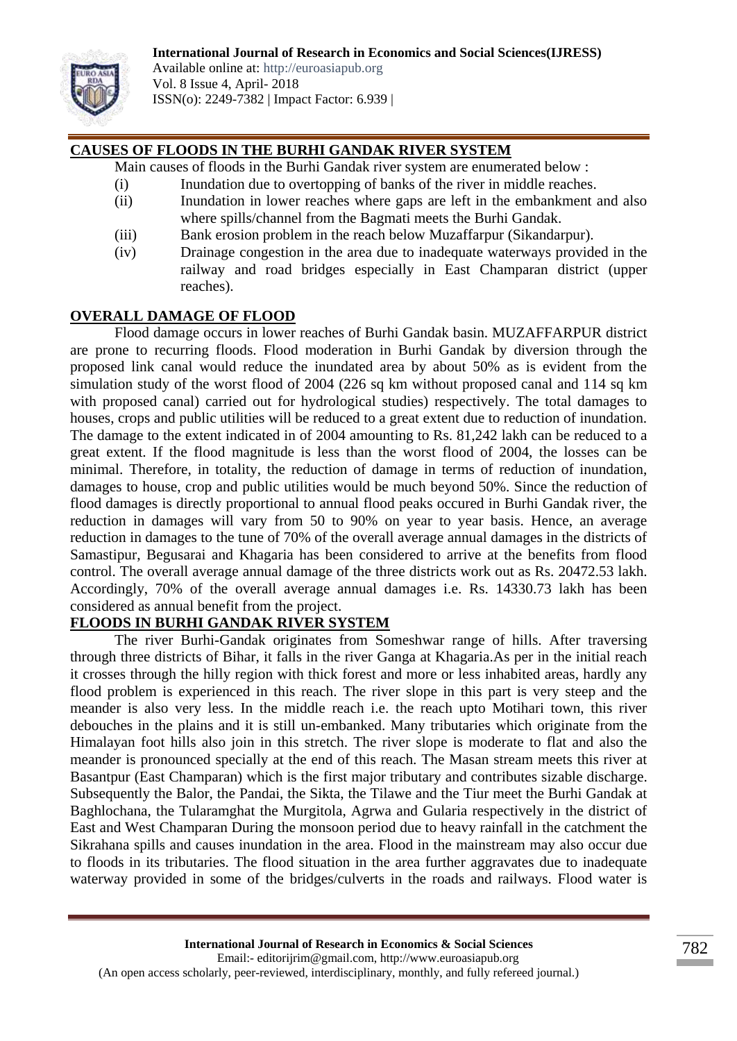

Available online at: http://euroasiapub.org Vol. 8 Issue 4, April- 2018 ISSN(o): 2249-7382 | Impact Factor: 6.939 |

## **CAUSES OF FLOODS IN THE BURHI GANDAK RIVER SYSTEM**

- Main causes of floods in the Burhi Gandak river system are enumerated below :
	- (i) Inundation due to overtopping of banks of the river in middle reaches.
	- (ii) Inundation in lower reaches where gaps are left in the embankment and also where spills/channel from the Bagmati meets the Burhi Gandak.
	- (iii) Bank erosion problem in the reach below Muzaffarpur (Sikandarpur).
	- (iv) Drainage congestion in the area due to inadequate waterways provided in the railway and road bridges especially in East Champaran district (upper reaches).

#### **OVERALL DAMAGE OF FLOOD**

Flood damage occurs in lower reaches of Burhi Gandak basin. MUZAFFARPUR district are prone to recurring floods. Flood moderation in Burhi Gandak by diversion through the proposed link canal would reduce the inundated area by about 50% as is evident from the simulation study of the worst flood of 2004 (226 sq km without proposed canal and 114 sq km with proposed canal) carried out for hydrological studies) respectively. The total damages to houses, crops and public utilities will be reduced to a great extent due to reduction of inundation. The damage to the extent indicated in of 2004 amounting to Rs. 81,242 lakh can be reduced to a great extent. If the flood magnitude is less than the worst flood of 2004, the losses can be minimal. Therefore, in totality, the reduction of damage in terms of reduction of inundation, damages to house, crop and public utilities would be much beyond 50%. Since the reduction of flood damages is directly proportional to annual flood peaks occured in Burhi Gandak river, the reduction in damages will vary from 50 to 90% on year to year basis. Hence, an average reduction in damages to the tune of 70% of the overall average annual damages in the districts of Samastipur, Begusarai and Khagaria has been considered to arrive at the benefits from flood control. The overall average annual damage of the three districts work out as Rs. 20472.53 lakh. Accordingly, 70% of the overall average annual damages i.e. Rs. 14330.73 lakh has been considered as annual benefit from the project.

## **FLOODS IN BURHI GANDAK RIVER SYSTEM**

The river Burhi-Gandak originates from Someshwar range of hills. After traversing through three districts of Bihar, it falls in the river Ganga at Khagaria.As per in the initial reach it crosses through the hilly region with thick forest and more or less inhabited areas, hardly any flood problem is experienced in this reach. The river slope in this part is very steep and the meander is also very less. In the middle reach i.e. the reach upto Motihari town, this river debouches in the plains and it is still un-embanked. Many tributaries which originate from the Himalayan foot hills also join in this stretch. The river slope is moderate to flat and also the meander is pronounced specially at the end of this reach. The Masan stream meets this river at Basantpur (East Champaran) which is the first major tributary and contributes sizable discharge. Subsequently the Balor, the Pandai, the Sikta, the Tilawe and the Tiur meet the Burhi Gandak at Baghlochana, the Tularamghat the Murgitola, Agrwa and Gularia respectively in the district of East and West Champaran During the monsoon period due to heavy rainfall in the catchment the Sikrahana spills and causes inundation in the area. Flood in the mainstream may also occur due to floods in its tributaries. The flood situation in the area further aggravates due to inadequate waterway provided in some of the bridges/culverts in the roads and railways. Flood water is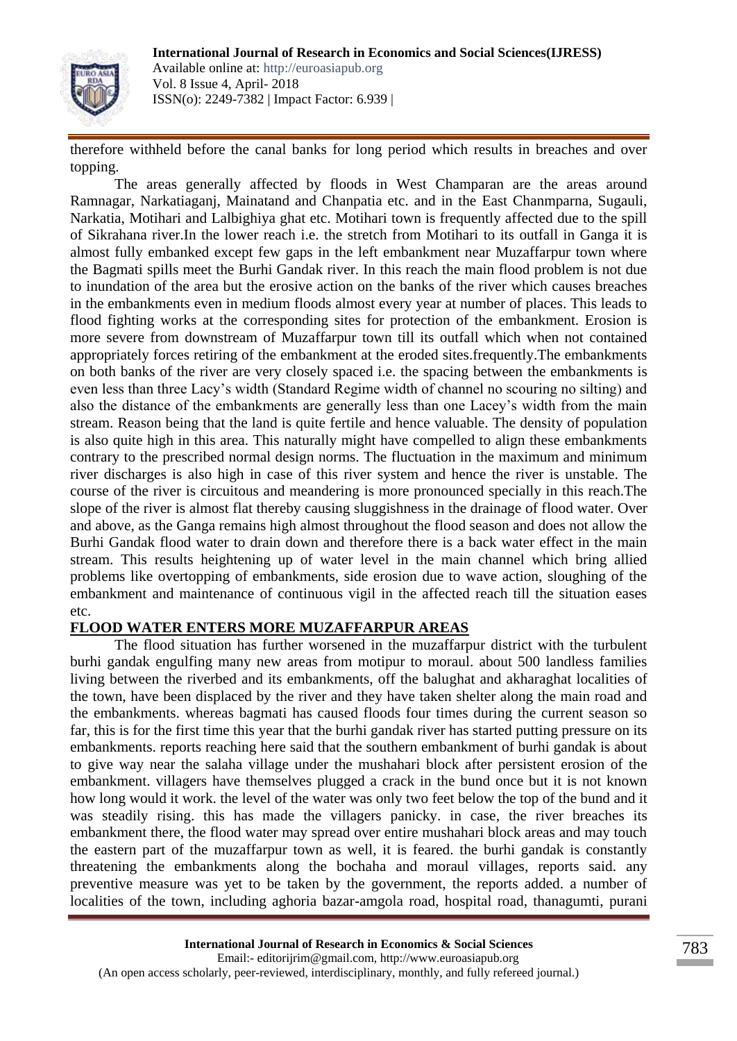

Available online at: http://euroasiapub.org Vol. 8 Issue 4, April- 2018 ISSN(o): 2249-7382 | Impact Factor: 6.939 |

therefore withheld before the canal banks for long period which results in breaches and over topping.

The areas generally affected by floods in West Champaran are the areas around Ramnagar, Narkatiaganj, Mainatand and Chanpatia etc. and in the East Chanmparna, Sugauli, Narkatia, Motihari and Lalbighiya ghat etc. Motihari town is frequently affected due to the spill of Sikrahana river.In the lower reach i.e. the stretch from Motihari to its outfall in Ganga it is almost fully embanked except few gaps in the left embankment near Muzaffarpur town where the Bagmati spills meet the Burhi Gandak river. In this reach the main flood problem is not due to inundation of the area but the erosive action on the banks of the river which causes breaches in the embankments even in medium floods almost every year at number of places. This leads to flood fighting works at the corresponding sites for protection of the embankment. Erosion is more severe from downstream of Muzaffarpur town till its outfall which when not contained appropriately forces retiring of the embankment at the eroded sites.frequently.The embankments on both banks of the river are very closely spaced i.e. the spacing between the embankments is even less than three Lacy's width (Standard Regime width of channel no scouring no silting) and also the distance of the embankments are generally less than one Lacey's width from the main stream. Reason being that the land is quite fertile and hence valuable. The density of population is also quite high in this area. This naturally might have compelled to align these embankments contrary to the prescribed normal design norms. The fluctuation in the maximum and minimum river discharges is also high in case of this river system and hence the river is unstable. The course of the river is circuitous and meandering is more pronounced specially in this reach.The slope of the river is almost flat thereby causing sluggishness in the drainage of flood water. Over and above, as the Ganga remains high almost throughout the flood season and does not allow the Burhi Gandak flood water to drain down and therefore there is a back water effect in the main stream. This results heightening up of water level in the main channel which bring allied problems like overtopping of embankments, side erosion due to wave action, sloughing of the embankment and maintenance of continuous vigil in the affected reach till the situation eases etc.

## **FLOOD WATER ENTERS MORE MUZAFFARPUR AREAS**

The flood situation has further worsened in the muzaffarpur district with the turbulent burhi gandak engulfing many new areas from motipur to moraul. about 500 landless families living between the riverbed and its embankments, off the balughat and akharaghat localities of the town, have been displaced by the river and they have taken shelter along the main road and the embankments. whereas bagmati has caused floods four times during the current season so far, this is for the first time this year that the burhi gandak river has started putting pressure on its embankments. reports reaching here said that the southern embankment of burhi gandak is about to give way near the salaha village under the mushahari block after persistent erosion of the embankment. villagers have themselves plugged a crack in the bund once but it is not known how long would it work. the level of the water was only two feet below the top of the bund and it was steadily rising. this has made the villagers panicky. in case, the river breaches its embankment there, the flood water may spread over entire mushahari block areas and may touch the eastern part of the muzaffarpur town as well, it is feared. the burhi gandak is constantly threatening the embankments along the bochaha and moraul villages, reports said. any preventive measure was yet to be taken by the government, the reports added. a number of localities of the town, including aghoria bazar-amgola road, hospital road, thanagumti, purani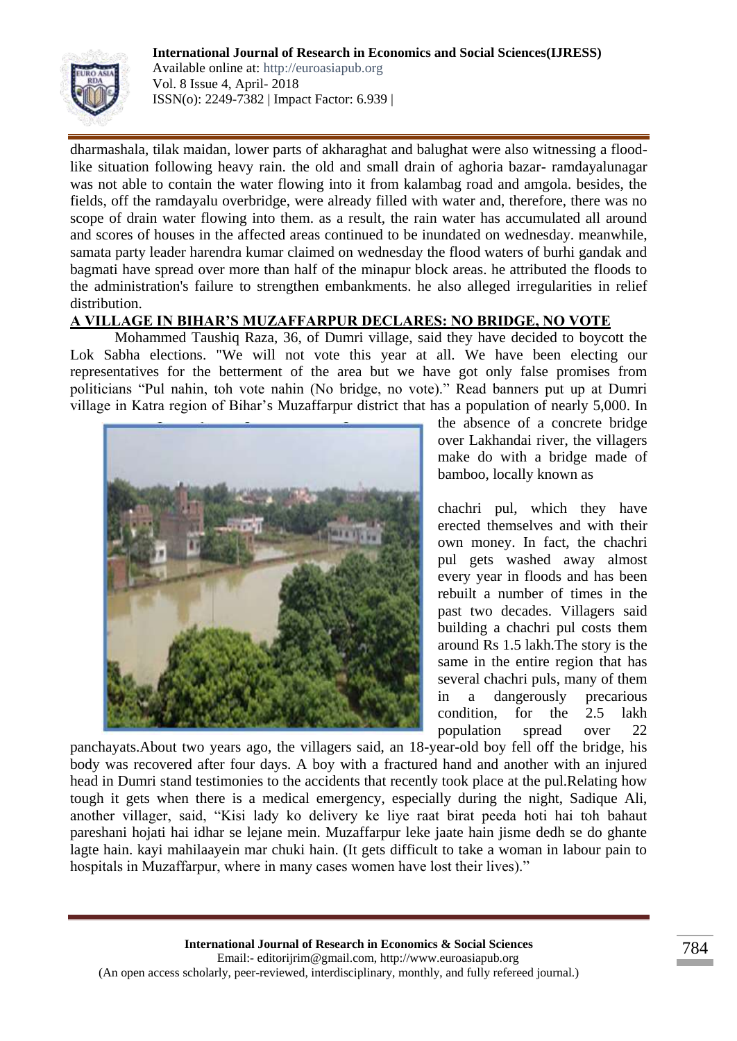

Available online at: http://euroasiapub.org Vol. 8 Issue 4, April- 2018 ISSN(o): 2249-7382 | Impact Factor: 6.939 |

dharmashala, tilak maidan, lower parts of akharaghat and balughat were also witnessing a floodlike situation following heavy rain. the old and small drain of aghoria bazar- ramdayalunagar was not able to contain the water flowing into it from kalambag road and amgola. besides, the fields, off the ramdayalu overbridge, were already filled with water and, therefore, there was no scope of drain water flowing into them. as a result, the rain water has accumulated all around and scores of houses in the affected areas continued to be inundated on wednesday. meanwhile, samata party leader harendra kumar claimed on wednesday the flood waters of burhi gandak and bagmati have spread over more than half of the minapur block areas. he attributed the floods to the administration's failure to strengthen embankments. he also alleged irregularities in relief distribution.

# **A VILLAGE IN BIHAR'S MUZAFFARPUR DECLARES: NO BRIDGE, NO VOTE**

Mohammed Taushiq Raza, 36, of Dumri village, said they have decided to boycott the Lok Sabha elections. "We will not vote this year at all. We have been electing our representatives for the betterment of the area but we have got only false promises from politicians "Pul nahin, toh vote nahin (No bridge, no vote)." Read banners put up at Dumri village in Katra region of Bihar's Muzaffarpur district that has a population of nearly 5,000. In



the absence of a concrete bridge over Lakhandai river, the villagers make do with a bridge made of bamboo, locally known as

chachri pul, which they have erected themselves and with their own money. In fact, the chachri pul gets washed away almost every year in floods and has been rebuilt a number of times in the past two decades. Villagers said building a chachri pul costs them around Rs 1.5 lakh.The story is the same in the entire region that has several chachri puls, many of them in a dangerously precarious condition, for the 2.5 lakh population spread over 22

panchayats.About two years ago, the villagers said, an 18-year-old boy fell off the bridge, his body was recovered after four days. A boy with a fractured hand and another with an injured head in Dumri stand testimonies to the accidents that recently took place at the pul.Relating how tough it gets when there is a medical emergency, especially during the night, Sadique Ali, another villager, said, "Kisi lady ko delivery ke liye raat birat peeda hoti hai toh bahaut pareshani hojati hai idhar se lejane mein. Muzaffarpur leke jaate hain jisme dedh se do ghante lagte hain. kayi mahilaayein mar chuki hain. (It gets difficult to take a woman in labour pain to hospitals in Muzaffarpur, where in many cases women have lost their lives)."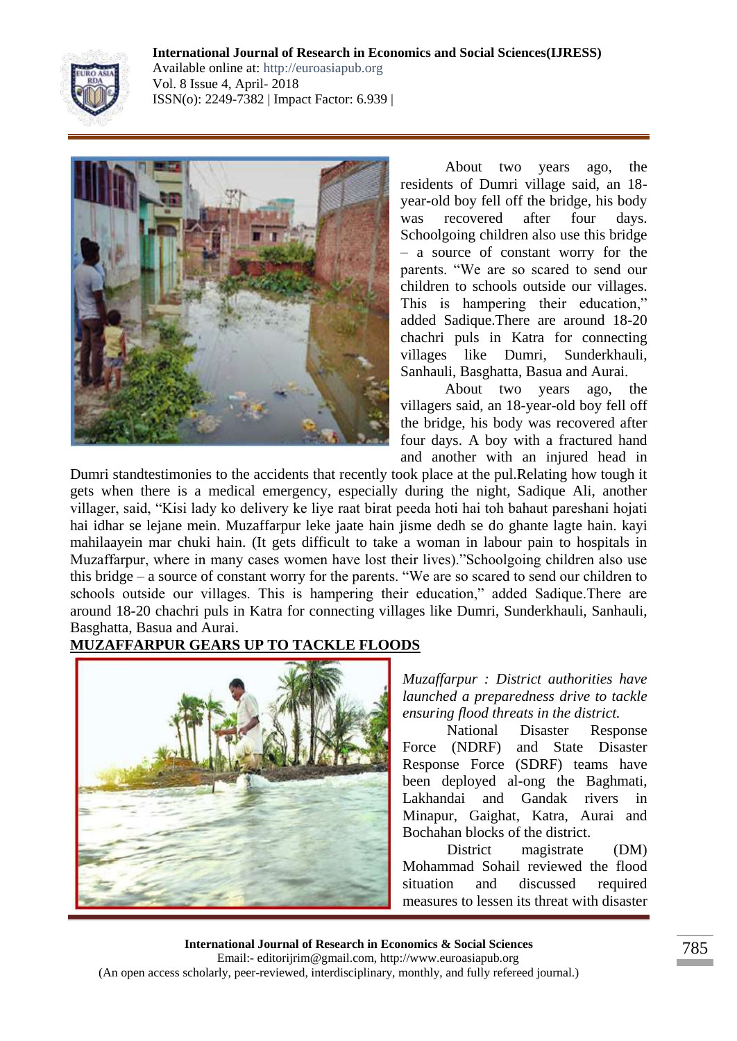

**International Journal of Research in Economics and Social Sciences(IJRESS)** Available online at: http://euroasiapub.org Vol. 8 Issue 4, April- 2018 ISSN(o): 2249-7382 | Impact Factor: 6.939 |



About two years ago, the residents of Dumri village said, an 18 year-old boy fell off the bridge, his body was recovered after four days. Schoolgoing children also use this bridge – a source of constant worry for the parents. "We are so scared to send our children to schools outside our villages. This is hampering their education," added Sadique.There are around 18-20 chachri puls in Katra for connecting villages like Dumri, Sunderkhauli, Sanhauli, Basghatta, Basua and Aurai.

About two years ago, the villagers said, an 18-year-old boy fell off the bridge, his body was recovered after four days. A boy with a fractured hand and another with an injured head in

Dumri standtestimonies to the accidents that recently took place at the pul.Relating how tough it gets when there is a medical emergency, especially during the night, Sadique Ali, another villager, said, "Kisi lady ko delivery ke liye raat birat peeda hoti hai toh bahaut pareshani hojati hai idhar se lejane mein. Muzaffarpur leke jaate hain jisme dedh se do ghante lagte hain. kayi mahilaayein mar chuki hain. (It gets difficult to take a woman in labour pain to hospitals in Muzaffarpur, where in many cases women have lost their lives)."Schoolgoing children also use this bridge – a source of constant worry for the parents. "We are so scared to send our children to schools outside our villages. This is hampering their education," added Sadique.There are around 18-20 chachri puls in Katra for connecting villages like Dumri, Sunderkhauli, Sanhauli, Basghatta, Basua and Aurai.

# **MUZAFFARPUR GEARS UP TO TACKLE FLOODS**



*Muzaffarpur : District authorities have launched a preparedness drive to tackle ensuring flood threats in the district.*

National Disaster Response Force (NDRF) and State Disaster Response Force (SDRF) teams have been deployed al-ong the Baghmati, Lakhandai and Gandak rivers in Minapur, Gaighat, Katra, Aurai and Bochahan blocks of the district.

District magistrate (DM) Mohammad Sohail reviewed the flood situation and discussed required measures to lessen its threat with disaster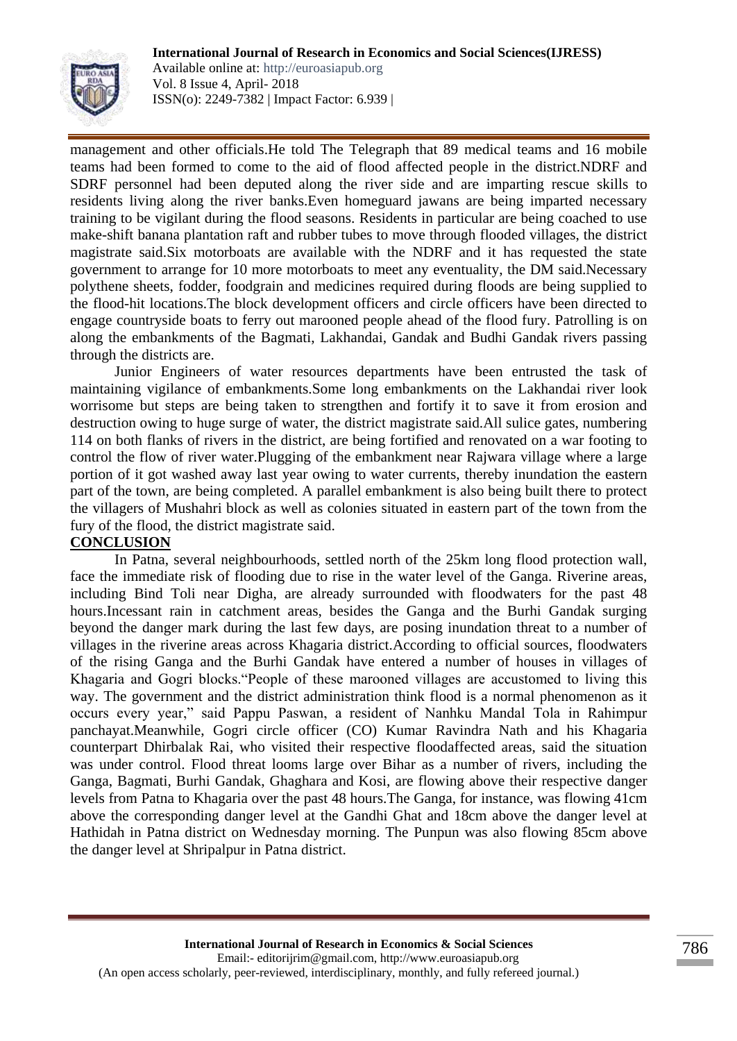

Available online at: http://euroasiapub.org Vol. 8 Issue 4, April- 2018 ISSN(o): 2249-7382 | Impact Factor: 6.939 |

management and other officials.He told The Telegraph that 89 medical teams and 16 mobile teams had been formed to come to the aid of flood affected people in the district.NDRF and SDRF personnel had been deputed along the river side and are imparting rescue skills to residents living along the river banks.Even homeguard jawans are being imparted necessary training to be vigilant during the flood seasons. Residents in particular are being coached to use make-shift banana plantation raft and rubber tubes to move through flooded villages, the district magistrate said.Six motorboats are available with the NDRF and it has requested the state government to arrange for 10 more motorboats to meet any eventuality, the DM said.Necessary polythene sheets, fodder, foodgrain and medicines required during floods are being supplied to the flood-hit locations.The block development officers and circle officers have been directed to engage countryside boats to ferry out marooned people ahead of the flood fury. Patrolling is on along the embankments of the Bagmati, Lakhandai, Gandak and Budhi Gandak rivers passing through the districts are.

Junior Engineers of water resources departments have been entrusted the task of maintaining vigilance of embankments.Some long embankments on the Lakhandai river look worrisome but steps are being taken to strengthen and fortify it to save it from erosion and destruction owing to huge surge of water, the district magistrate said.All sulice gates, numbering 114 on both flanks of rivers in the district, are being fortified and renovated on a war footing to control the flow of river water.Plugging of the embankment near Rajwara village where a large portion of it got washed away last year owing to water currents, thereby inundation the eastern part of the town, are being completed. A parallel embankment is also being built there to protect the villagers of Mushahri block as well as colonies situated in eastern part of the town from the fury of the flood, the district magistrate said.

#### **CONCLUSION**

In Patna, several neighbourhoods, settled north of the 25km long flood protection wall, face the immediate risk of flooding due to rise in the water level of the Ganga. Riverine areas, including Bind Toli near Digha, are already surrounded with floodwaters for the past 48 hours.Incessant rain in catchment areas, besides the Ganga and the Burhi Gandak surging beyond the danger mark during the last few days, are posing inundation threat to a number of villages in the riverine areas across Khagaria district.According to official sources, floodwaters of the rising Ganga and the Burhi Gandak have entered a number of houses in villages of Khagaria and Gogri blocks."People of these marooned villages are accustomed to living this way. The government and the district administration think flood is a normal phenomenon as it occurs every year," said Pappu Paswan, a resident of Nanhku Mandal Tola in Rahimpur panchayat.Meanwhile, Gogri circle officer (CO) Kumar Ravindra Nath and his Khagaria counterpart Dhirbalak Rai, who visited their respective floodaffected areas, said the situation was under control. Flood threat looms large over Bihar as a number of rivers, including the Ganga, Bagmati, Burhi Gandak, Ghaghara and Kosi, are flowing above their respective danger levels from Patna to Khagaria over the past 48 hours.The Ganga, for instance, was flowing 41cm above the corresponding danger level at the Gandhi Ghat and 18cm above the danger level at Hathidah in Patna district on Wednesday morning. The Punpun was also flowing 85cm above the danger level at Shripalpur in Patna district.